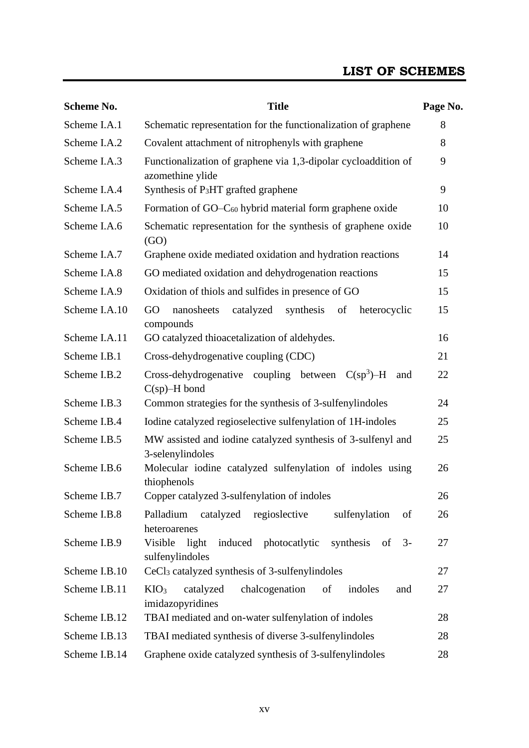## **LIST OF SCHEMES**

| <b>Scheme No.</b> | <b>Title</b>                                                                                | Page No. |
|-------------------|---------------------------------------------------------------------------------------------|----------|
| Scheme I.A.1      | Schematic representation for the functionalization of graphene                              | 8        |
| Scheme I.A.2      | Covalent attachment of nitrophenyls with graphene                                           | 8        |
| Scheme I.A.3      | Functionalization of graphene via 1,3-dipolar cycloaddition of<br>azomethine ylide          | 9        |
| Scheme I.A.4      | Synthesis of P <sub>3</sub> HT grafted graphene                                             | 9        |
| Scheme I.A.5      | Formation of $GO-C_{60}$ hybrid material form graphene oxide                                | 10       |
| Scheme I.A.6      | Schematic representation for the synthesis of graphene oxide<br>(GO)                        | 10       |
| Scheme I.A.7      | Graphene oxide mediated oxidation and hydration reactions                                   | 14       |
| Scheme I.A.8      | GO mediated oxidation and dehydrogenation reactions                                         | 15       |
| Scheme I.A.9      | Oxidation of thiols and sulfides in presence of GO                                          | 15       |
| Scheme I.A.10     | GO<br>catalyzed<br>synthesis<br>nanosheets<br>of<br>heterocyclic<br>compounds               | 15       |
| Scheme I.A.11     | GO catalyzed thioacetalization of aldehydes.                                                | 16       |
| Scheme I.B.1      | Cross-dehydrogenative coupling (CDC)                                                        | 21       |
| Scheme I.B.2      | Cross-dehydrogenative coupling between $C(sp^3)$ -H<br>and<br>$C(sp)$ -H bond               | 22       |
| Scheme I.B.3      | Common strategies for the synthesis of 3-sulfenylindoles                                    | 24       |
| Scheme I.B.4      | Iodine catalyzed regioselective sulfenylation of 1H-indoles                                 | 25       |
| Scheme I.B.5      | MW assisted and iodine catalyzed synthesis of 3-sulfenyl and<br>3-selenylindoles            | 25       |
| Scheme I.B.6      | Molecular iodine catalyzed sulfenylation of indoles using<br>thiophenols                    | 26       |
| Scheme I.B.7      | Copper catalyzed 3-sulfenylation of indoles                                                 | 26       |
| Scheme I.B.8      | Palladium<br>catalyzed regioslective<br>sulfenylation<br>of<br>heteroarenes                 | 26       |
| Scheme I.B.9      | Visible<br>induced photocatlytic<br>light<br>synthesis<br>$3-$<br>of<br>sulfenylindoles     | 27       |
| Scheme I.B.10     | CeCl <sub>3</sub> catalyzed synthesis of 3-sulfenylindoles                                  | 27       |
| Scheme I.B.11     | catalyzed<br>chalcogenation<br>KIO <sub>3</sub><br>of<br>indoles<br>and<br>imidazopyridines | 27       |
| Scheme I.B.12     | TBAI mediated and on-water sulfenylation of indoles                                         | 28       |
| Scheme I.B.13     | TBAI mediated synthesis of diverse 3-sulfenylindoles                                        | 28       |
| Scheme I.B.14     | Graphene oxide catalyzed synthesis of 3-sulfenylindoles                                     | 28       |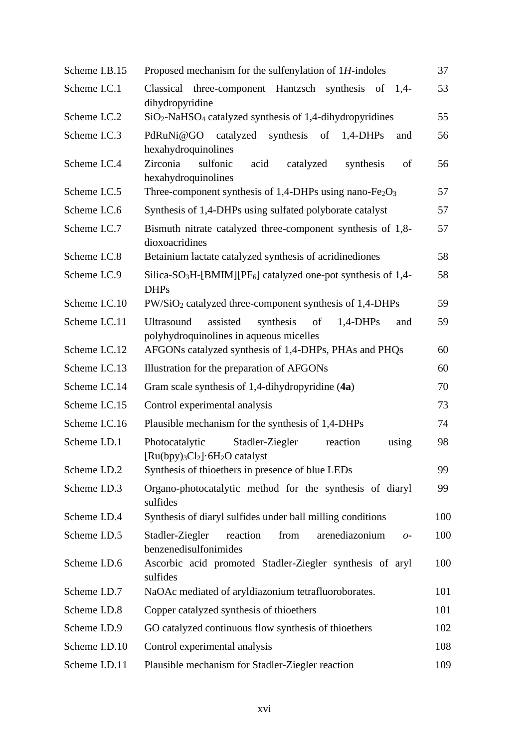| Scheme I.B.15 | Proposed mechanism for the sulfenylation of $1H$ -indoles                                                 | 37  |
|---------------|-----------------------------------------------------------------------------------------------------------|-----|
| Scheme I.C.1  | Classical three-component Hantzsch synthesis of 1,4-<br>dihydropyridine                                   | 53  |
| Scheme I.C.2  | SiO <sub>2</sub> -NaHSO <sub>4</sub> catalyzed synthesis of 1,4-dihydropyridines                          | 55  |
| Scheme I.C.3  | PdRuNi@GO<br>synthesis<br>catalyzed<br>of<br>$1,4-DHPs$<br>and<br>hexahydroquinolines                     | 56  |
| Scheme I.C.4  | Zirconia<br>sulfonic<br>acid<br>catalyzed<br>synthesis<br>of<br>hexahydroquinolines                       | 56  |
| Scheme I.C.5  | Three-component synthesis of 1,4-DHPs using nano- $Fe2O3$                                                 | 57  |
| Scheme I.C.6  | Synthesis of 1,4-DHPs using sulfated polyborate catalyst                                                  | 57  |
| Scheme I.C.7  | Bismuth nitrate catalyzed three-component synthesis of 1,8-<br>dioxoacridines                             | 57  |
| Scheme I.C.8  | Betainium lactate catalyzed synthesis of acridinediones                                                   | 58  |
| Scheme I.C.9  | Silica-SO <sub>3</sub> H-[BMIM][PF <sub>6</sub> ] catalyzed one-pot synthesis of 1,4-<br><b>DHPs</b>      | 58  |
| Scheme I.C.10 | PW/SiO <sub>2</sub> catalyzed three-component synthesis of 1,4-DHPs                                       | 59  |
| Scheme I.C.11 | assisted<br>Ultrasound<br>synthesis<br>of<br>$1,4-DHPs$<br>and<br>polyhydroquinolines in aqueous micelles | 59  |
| Scheme I.C.12 | AFGONs catalyzed synthesis of 1,4-DHPs, PHAs and PHQs                                                     | 60  |
| Scheme I.C.13 | Illustration for the preparation of AFGONs                                                                | 60  |
| Scheme I.C.14 | Gram scale synthesis of 1,4-dihydropyridine (4a)                                                          | 70  |
| Scheme I.C.15 | Control experimental analysis                                                                             | 73  |
| Scheme I.C.16 | Plausible mechanism for the synthesis of 1,4-DHPs                                                         | 74  |
| Scheme I.D.1  | Photocatalytic<br>Stadler-Ziegler<br>reaction<br>using<br>[Ru(bpy)3Cl2] · 6H <sub>2</sub> O catalyst      | 98  |
| Scheme I.D.2  | Synthesis of thioethers in presence of blue LEDs                                                          | 99  |
| Scheme I.D.3  | Organo-photocatalytic method for the synthesis of diaryl<br>sulfides                                      | 99  |
| Scheme I.D.4  | Synthesis of diaryl sulfides under ball milling conditions                                                | 100 |
| Scheme I.D.5  | reaction<br>Stadler-Ziegler<br>from<br>arenediazonium<br>$O -$<br>benzenedisulfonimides                   | 100 |
| Scheme I.D.6  | Ascorbic acid promoted Stadler-Ziegler synthesis of aryl<br>sulfides                                      | 100 |
| Scheme I.D.7  | NaOAc mediated of aryldiazonium tetrafluoroborates.                                                       | 101 |
| Scheme I.D.8  | Copper catalyzed synthesis of thioethers                                                                  | 101 |
| Scheme I.D.9  | GO catalyzed continuous flow synthesis of thioethers                                                      | 102 |
| Scheme I.D.10 | Control experimental analysis                                                                             | 108 |
| Scheme I.D.11 | Plausible mechanism for Stadler-Ziegler reaction                                                          | 109 |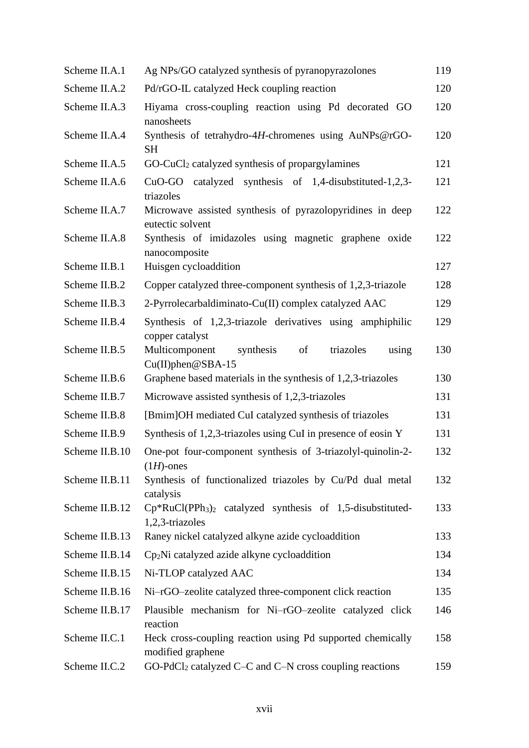| Scheme II.A.1  | Ag NPs/GO catalyzed synthesis of pyranopyrazolones                              | 119 |
|----------------|---------------------------------------------------------------------------------|-----|
| Scheme II.A.2  | Pd/rGO-IL catalyzed Heck coupling reaction                                      | 120 |
| Scheme II.A.3  | Hiyama cross-coupling reaction using Pd decorated GO<br>nanosheets              | 120 |
| Scheme II.A.4  | Synthesis of tetrahydro-4H-chromenes using AuNPs@rGO-<br><b>SH</b>              | 120 |
| Scheme II.A.5  | GO-CuCl <sub>2</sub> catalyzed synthesis of propargylamines                     | 121 |
| Scheme II.A.6  | catalyzed synthesis of 1,4-disubstituted-1,2,3-<br>$CuO-GO$<br>triazoles        | 121 |
| Scheme II.A.7  | Microwave assisted synthesis of pyrazolopyridines in deep<br>eutectic solvent   | 122 |
| Scheme II.A.8  | Synthesis of imidazoles using magnetic graphene oxide<br>nanocomposite          | 122 |
| Scheme II.B.1  | Huisgen cycloaddition                                                           | 127 |
| Scheme II.B.2  | Copper catalyzed three-component synthesis of 1,2,3-triazole                    | 128 |
| Scheme II.B.3  | 2-Pyrrolecarbaldiminato-Cu(II) complex catalyzed AAC                            | 129 |
| Scheme II.B.4  | Synthesis of 1,2,3-triazole derivatives using amphiphilic<br>copper catalyst    | 129 |
| Scheme II.B.5  | Multicomponent<br>synthesis<br>of<br>triazoles<br>using<br>Cu(II)phen@SBA-15    | 130 |
| Scheme II.B.6  | Graphene based materials in the synthesis of 1,2,3-triazoles                    | 130 |
| Scheme II.B.7  | Microwave assisted synthesis of 1,2,3-triazoles                                 | 131 |
| Scheme II.B.8  | [Bmim]OH mediated CuI catalyzed synthesis of triazoles                          | 131 |
| Scheme II.B.9  | Synthesis of 1,2,3-triazoles using CuI in presence of eosin Y                   | 131 |
| Scheme II.B.10 | One-pot four-component synthesis of 3-triazolyl-quinolin-2-<br>$(1H)$ -ones     | 132 |
| Scheme II.B.11 | Synthesis of functionalized triazoles by Cu/Pd dual metal<br>catalysis          | 132 |
| Scheme II.B.12 | $Cp*RuCl(PPh3)2$ catalyzed synthesis of 1,5-disubstituted-<br>1,2,3-triazoles   | 133 |
| Scheme II.B.13 | Raney nickel catalyzed alkyne azide cycloaddition                               | 133 |
| Scheme II.B.14 | $Cp_2$ Ni catalyzed azide alkyne cycloaddition                                  | 134 |
| Scheme II.B.15 | Ni-TLOP catalyzed AAC                                                           | 134 |
| Scheme II.B.16 | Ni-rGO-zeolite catalyzed three-component click reaction                         | 135 |
| Scheme II.B.17 | Plausible mechanism for Ni-rGO-zeolite catalyzed click<br>reaction              | 146 |
| Scheme II.C.1  | Heck cross-coupling reaction using Pd supported chemically<br>modified graphene | 158 |
| Scheme II.C.2  | $GO-PdCl2$ catalyzed C–C and C–N cross coupling reactions                       | 159 |